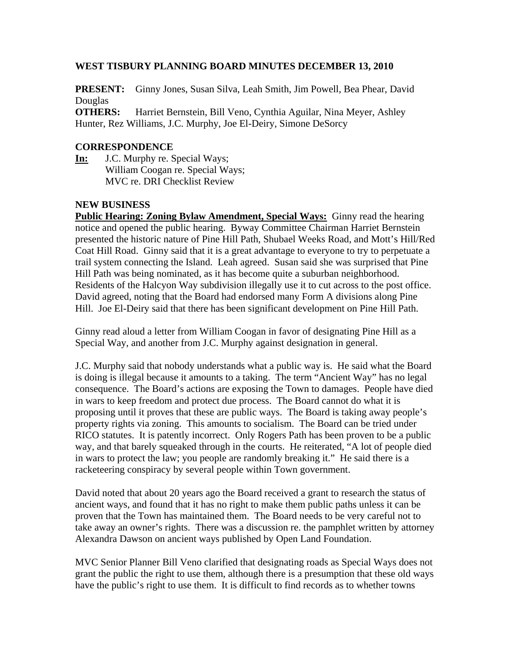#### **WEST TISBURY PLANNING BOARD MINUTES DECEMBER 13, 2010**

**PRESENT:** Ginny Jones, Susan Silva, Leah Smith, Jim Powell, Bea Phear, David Douglas

**OTHERS:** Harriet Bernstein, Bill Veno, Cynthia Aguilar, Nina Meyer, Ashley Hunter, Rez Williams, J.C. Murphy, Joe El-Deiry, Simone DeSorcy

#### **CORRESPONDENCE**

**In:** J.C. Murphy re. Special Ways; William Coogan re. Special Ways; MVC re. DRI Checklist Review

## **NEW BUSINESS**

**Public Hearing: Zoning Bylaw Amendment, Special Ways:** Ginny read the hearing notice and opened the public hearing. Byway Committee Chairman Harriet Bernstein presented the historic nature of Pine Hill Path, Shubael Weeks Road, and Mott's Hill/Red Coat Hill Road. Ginny said that it is a great advantage to everyone to try to perpetuate a trail system connecting the Island. Leah agreed. Susan said she was surprised that Pine Hill Path was being nominated, as it has become quite a suburban neighborhood. Residents of the Halcyon Way subdivision illegally use it to cut across to the post office. David agreed, noting that the Board had endorsed many Form A divisions along Pine Hill. Joe El-Deiry said that there has been significant development on Pine Hill Path.

Ginny read aloud a letter from William Coogan in favor of designating Pine Hill as a Special Way, and another from J.C. Murphy against designation in general.

J.C. Murphy said that nobody understands what a public way is. He said what the Board is doing is illegal because it amounts to a taking. The term "Ancient Way" has no legal consequence. The Board's actions are exposing the Town to damages. People have died in wars to keep freedom and protect due process. The Board cannot do what it is proposing until it proves that these are public ways. The Board is taking away people's property rights via zoning. This amounts to socialism. The Board can be tried under RICO statutes. It is patently incorrect. Only Rogers Path has been proven to be a public way, and that barely squeaked through in the courts. He reiterated, "A lot of people died in wars to protect the law; you people are randomly breaking it." He said there is a racketeering conspiracy by several people within Town government.

David noted that about 20 years ago the Board received a grant to research the status of ancient ways, and found that it has no right to make them public paths unless it can be proven that the Town has maintained them. The Board needs to be very careful not to take away an owner's rights. There was a discussion re. the pamphlet written by attorney Alexandra Dawson on ancient ways published by Open Land Foundation.

MVC Senior Planner Bill Veno clarified that designating roads as Special Ways does not grant the public the right to use them, although there is a presumption that these old ways have the public's right to use them. It is difficult to find records as to whether towns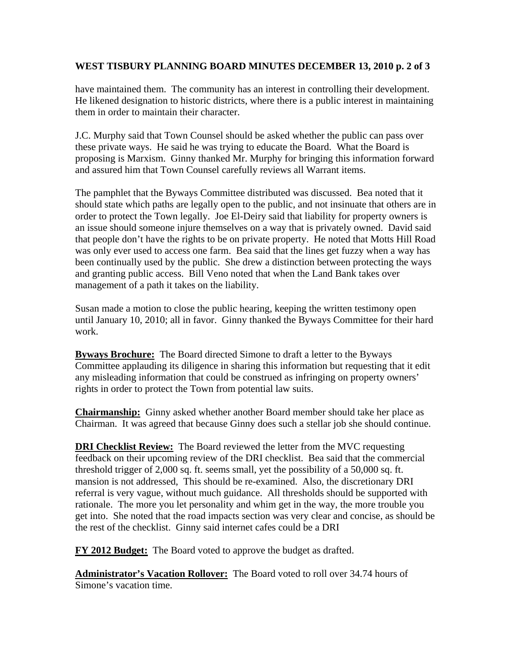#### **WEST TISBURY PLANNING BOARD MINUTES DECEMBER 13, 2010 p. 2 of 3**

have maintained them. The community has an interest in controlling their development. He likened designation to historic districts, where there is a public interest in maintaining them in order to maintain their character.

J.C. Murphy said that Town Counsel should be asked whether the public can pass over these private ways. He said he was trying to educate the Board. What the Board is proposing is Marxism. Ginny thanked Mr. Murphy for bringing this information forward and assured him that Town Counsel carefully reviews all Warrant items.

The pamphlet that the Byways Committee distributed was discussed. Bea noted that it should state which paths are legally open to the public, and not insinuate that others are in order to protect the Town legally. Joe El-Deiry said that liability for property owners is an issue should someone injure themselves on a way that is privately owned. David said that people don't have the rights to be on private property. He noted that Motts Hill Road was only ever used to access one farm. Bea said that the lines get fuzzy when a way has been continually used by the public. She drew a distinction between protecting the ways and granting public access. Bill Veno noted that when the Land Bank takes over management of a path it takes on the liability.

Susan made a motion to close the public hearing, keeping the written testimony open until January 10, 2010; all in favor. Ginny thanked the Byways Committee for their hard work.

**Byways Brochure:** The Board directed Simone to draft a letter to the Byways Committee applauding its diligence in sharing this information but requesting that it edit any misleading information that could be construed as infringing on property owners' rights in order to protect the Town from potential law suits.

**Chairmanship:** Ginny asked whether another Board member should take her place as Chairman. It was agreed that because Ginny does such a stellar job she should continue.

**DRI Checklist Review:** The Board reviewed the letter from the MVC requesting feedback on their upcoming review of the DRI checklist. Bea said that the commercial threshold trigger of 2,000 sq. ft. seems small, yet the possibility of a 50,000 sq. ft. mansion is not addressed, This should be re-examined. Also, the discretionary DRI referral is very vague, without much guidance. All thresholds should be supported with rationale. The more you let personality and whim get in the way, the more trouble you get into. She noted that the road impacts section was very clear and concise, as should be the rest of the checklist. Ginny said internet cafes could be a DRI

**FY 2012 Budget:** The Board voted to approve the budget as drafted.

**Administrator's Vacation Rollover:** The Board voted to roll over 34.74 hours of Simone's vacation time.